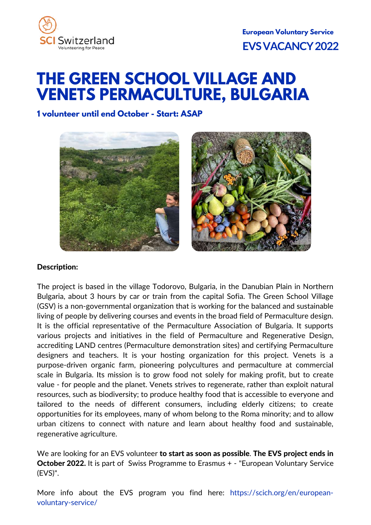

# **THE GREEN SCHOOL VILLAGE AND VENETS PERMACULTURE, BULGARIA**

**1 volunteer until end October - Start: ASAP**



## Description:

The project is based in the village Todorovo, Bulgaria, in the Danubian Plain in Northern Bulgaria, about 3 hours by car or train from the capital Sofia. The Green School Village (GSV) is a non-governmental organization that is working for the balanced and sustainable living of people by delivering courses and events in the broad field of Permaculture design. It is the official representative of the Permaculture Association of Bulgaria. It supports various projects and initiatives in the field of Permaculture and Regenerative Design, accrediting LAND centres (Permaculture demonstration sites) and certifying Permaculture designers and teachers. It is your hosting organization for this project. Venets is a purpose-driven organic farm, pioneering polycultures and permaculture at commercial scale in Bulgaria. Its mission is to grow food not solely for making profit, but to create value - for people and the planet. Venets strives to regenerate, rather than exploit natural resources, such as biodiversity; to produce healthy food that is accessible to everyone and tailored to the needs of different consumers, including elderly citizens; to create opportunities for its employees, many of whom belong to the Roma minority; and to allow urban citizens to connect with nature and learn about healthy food and sustainable, regenerative agriculture.

We are looking for an EVS volunteer to start as soon as possible. The EVS project ends in October 2022. It is part of Swiss Programme to Erasmus + - "European Voluntary Service (EVS)".

More info about the EVS program you find [here](https://www.movetia.ch/en/programmes/swiss-programme-for-erasmus/youth-in-action/voluntary-service/): [https://scich.org/en/european](https://scich.org/en/european-voluntary-service/)voluntary-service/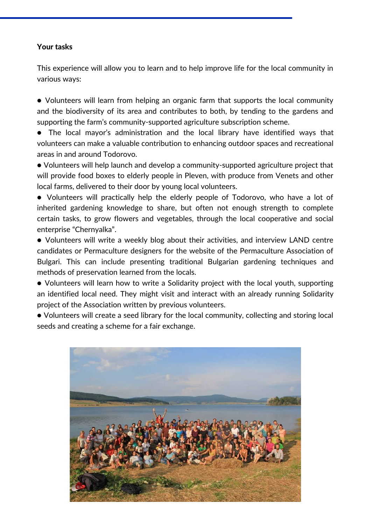## Your tasks

This experience will allow you to learn and to help improve life for the local community in various ways:

● Volunteers will learn from helping an organic farm that supports the local community and the biodiversity of its area and contributes to both, by tending to the gardens and supporting the farm's community-supported agriculture subscription scheme.

● The local mayor's administration and the local library have identified ways that volunteers can make a valuable contribution to enhancing outdoor spaces and recreational areas in and around Todorovo.

● Volunteers will help launch and develop a community-supported agriculture project that will provide food boxes to elderly people in Pleven, with produce from Venets and other local farms, delivered to their door by young local volunteers.

● Volunteers will practically help the elderly people of Todorovo, who have a lot of inherited gardening knowledge to share, but often not enough strength to complete certain tasks, to grow flowers and vegetables, through the local cooperative and social enterprise "Chernyalka".

● Volunteers will write a weekly blog about their activities, and interview LAND centre candidates or Permaculture designers for the website of the Permaculture Association of Bulgari. This can include presenting traditional Bulgarian gardening techniques and methods of preservation learned from the locals.

● Volunteers will learn how to write a Solidarity project with the local youth, supporting an identified local need. They might visit and interact with an already running Solidarity project of the Association written by previous volunteers.

● Volunteers will create a seed library for the local community, collecting and storing local seeds and creating a scheme for a fair exchange.

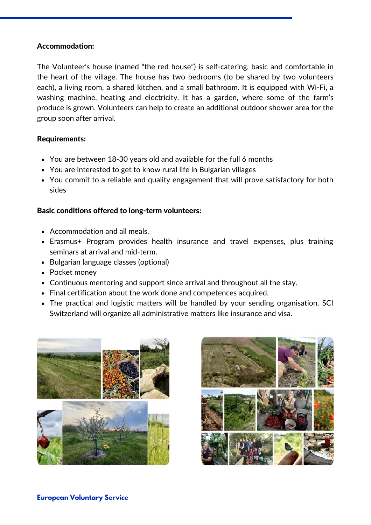#### Accommodation:

The Volunteer's house (named "the red house") is self-catering, basic and comfortable in the heart of the village. The house has two bedrooms (to be shared by two volunteers each), a living room, a shared kitchen, and a small bathroom. It is equipped with Wi-Fi, a washing machine, heating and electricity. It has a garden, where some of the farm's produce is grown. Volunteers can help to create an additional outdoor shower area for the group soon after arrival.

### Requirements:

- You are between 18-30 years old and available for the full 6 months
- You are interested to get to know rural life in Bulgarian villages
- You commit to a reliable and quality engagement that will prove satisfactory for both sides

## Basic conditions offered to long-term volunteers:

- Accommodation and all meals.
- Erasmus+ Program provides health insurance and travel expenses, plus training seminars at arrival and mid-term.
- Bulgarian language classes (optional)
- Pocket money
- Continuous mentoring and support since arrival and throughout all the stay.
- Final certification about the work done and competences acquired.
- The practical and logistic matters will be handled by your sending organisation. SCI Switzerland will organize all administrative matters like insurance and visa.